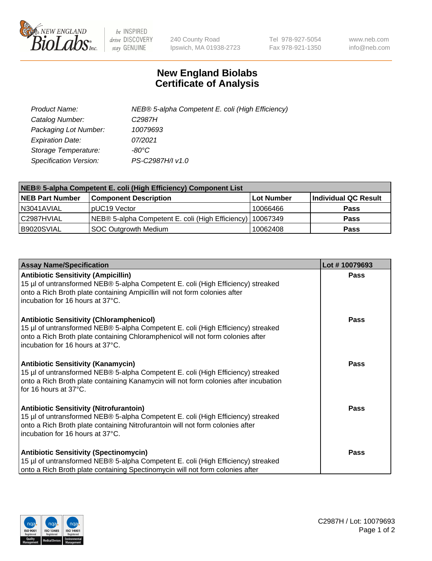

 $be$  INSPIRED drive DISCOVERY stay GENUINE

240 County Road Ipswich, MA 01938-2723 Tel 978-927-5054 Fax 978-921-1350 www.neb.com info@neb.com

## **New England Biolabs Certificate of Analysis**

| Product Name:           | NEB® 5-alpha Competent E. coli (High Efficiency) |
|-------------------------|--------------------------------------------------|
| Catalog Number:         | C <sub>2987</sub> H                              |
| Packaging Lot Number:   | 10079693                                         |
| <b>Expiration Date:</b> | 07/2021                                          |
| Storage Temperature:    | -80°C                                            |
| Specification Version:  | PS-C2987H/I v1.0                                 |

| NEB® 5-alpha Competent E. coli (High Efficiency) Component List |                                                  |            |                      |  |
|-----------------------------------------------------------------|--------------------------------------------------|------------|----------------------|--|
| <b>NEB Part Number</b>                                          | <b>Component Description</b>                     | Lot Number | Individual QC Result |  |
| N3041AVIAL                                                      | pUC19 Vector                                     | 10066466   | <b>Pass</b>          |  |
| C2987HVIAL                                                      | NEB® 5-alpha Competent E. coli (High Efficiency) | 10067349   | <b>Pass</b>          |  |
| B9020SVIAL                                                      | <b>SOC Outgrowth Medium</b>                      | 10062408   | <b>Pass</b>          |  |

| <b>Assay Name/Specification</b>                                                                                                                                                                                                                            | Lot #10079693 |
|------------------------------------------------------------------------------------------------------------------------------------------------------------------------------------------------------------------------------------------------------------|---------------|
| <b>Antibiotic Sensitivity (Ampicillin)</b><br>15 µl of untransformed NEB® 5-alpha Competent E. coli (High Efficiency) streaked<br>onto a Rich Broth plate containing Ampicillin will not form colonies after<br>incubation for 16 hours at 37°C.           | Pass          |
| <b>Antibiotic Sensitivity (Chloramphenicol)</b><br>15 µl of untransformed NEB® 5-alpha Competent E. coli (High Efficiency) streaked<br>onto a Rich Broth plate containing Chloramphenicol will not form colonies after<br>incubation for 16 hours at 37°C. | Pass          |
| Antibiotic Sensitivity (Kanamycin)<br>15 µl of untransformed NEB® 5-alpha Competent E. coli (High Efficiency) streaked<br>onto a Rich Broth plate containing Kanamycin will not form colonies after incubation<br>for 16 hours at 37°C.                    | Pass          |
| <b>Antibiotic Sensitivity (Nitrofurantoin)</b><br>15 µl of untransformed NEB® 5-alpha Competent E. coli (High Efficiency) streaked<br>onto a Rich Broth plate containing Nitrofurantoin will not form colonies after<br>incubation for 16 hours at 37°C.   | <b>Pass</b>   |
| <b>Antibiotic Sensitivity (Spectinomycin)</b><br>15 µl of untransformed NEB® 5-alpha Competent E. coli (High Efficiency) streaked<br>onto a Rich Broth plate containing Spectinomycin will not form colonies after                                         | Pass          |